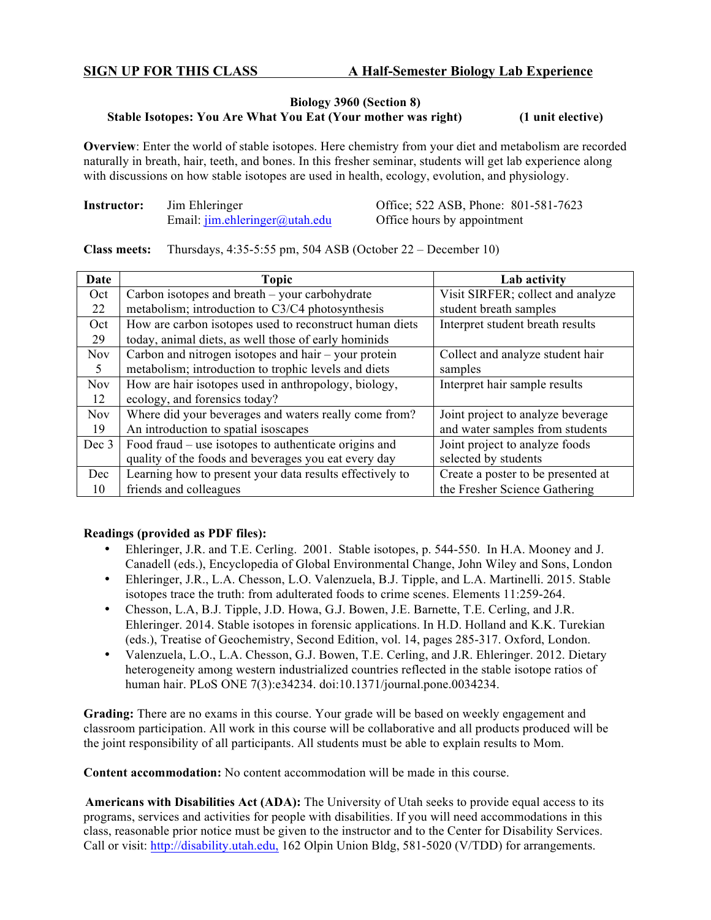## **Biology 3960 (Section 8) Stable Isotopes: You Are What You Eat (Your mother was right) (1 unit elective)**

**Overview**: Enter the world of stable isotopes. Here chemistry from your diet and metabolism are recorded naturally in breath, hair, teeth, and bones. In this fresher seminar, students will get lab experience along with discussions on how stable isotopes are used in health, ecology, evolution, and physiology.

| Instructor: | Jim Ehleringer |                                             |  |  |
|-------------|----------------|---------------------------------------------|--|--|
|             |                | Email: $\lim_{h \to 0}$ ehleringer@utah.edu |  |  |

**Office**; 522 ASB, Phone: 801-581-7623 Office hours by appointment

**Class meets:** Thursdays, 4:35-5:55 pm, 504 ASB (October 22 – December 10)

| Date       | <b>Topic</b>                                             | Lab activity                       |  |
|------------|----------------------------------------------------------|------------------------------------|--|
| Oct        | Carbon isotopes and breath – your carbohydrate           | Visit SIRFER; collect and analyze  |  |
| 22         | metabolism; introduction to C3/C4 photosynthesis         | student breath samples             |  |
| Oct        | How are carbon isotopes used to reconstruct human diets  | Interpret student breath results   |  |
| 29         | today, animal diets, as well those of early hominids     |                                    |  |
| <b>Nov</b> | Carbon and nitrogen isotopes and hair $-$ your protein   | Collect and analyze student hair   |  |
| $\sim$     | metabolism; introduction to trophic levels and diets     | samples                            |  |
| <b>Nov</b> | How are hair isotopes used in anthropology, biology,     | Interpret hair sample results      |  |
| 12         | ecology, and forensics today?                            |                                    |  |
| <b>Nov</b> | Where did your beverages and waters really come from?    | Joint project to analyze beverage  |  |
| 19         | An introduction to spatial isoscapes                     | and water samples from students    |  |
| Dec 3      | Food fraud – use isotopes to authenticate origins and    | Joint project to analyze foods     |  |
|            | quality of the foods and beverages you eat every day     | selected by students               |  |
| Dec        | Learning how to present your data results effectively to | Create a poster to be presented at |  |
| 10         | friends and colleagues                                   | the Fresher Science Gathering      |  |

## **Readings (provided as PDF files):**

- Ehleringer, J.R. and T.E. Cerling. 2001. Stable isotopes, p. 544-550. In H.A. Mooney and J. Canadell (eds.), Encyclopedia of Global Environmental Change, John Wiley and Sons, London
- Ehleringer, J.R., L.A. Chesson, L.O. Valenzuela, B.J. Tipple, and L.A. Martinelli. 2015. Stable isotopes trace the truth: from adulterated foods to crime scenes. Elements 11:259-264.
- Chesson, L.A, B.J. Tipple, J.D. Howa, G.J. Bowen, J.E. Barnette, T.E. Cerling, and J.R. Ehleringer. 2014. Stable isotopes in forensic applications. In H.D. Holland and K.K. Turekian (eds.), Treatise of Geochemistry, Second Edition, vol. 14, pages 285-317. Oxford, London.
- Valenzuela, L.O., L.A. Chesson, G.J. Bowen, T.E. Cerling, and J.R. Ehleringer. 2012. Dietary heterogeneity among western industrialized countries reflected in the stable isotope ratios of human hair. PLoS ONE 7(3):e34234. doi:10.1371/journal.pone.0034234.

**Grading:** There are no exams in this course. Your grade will be based on weekly engagement and classroom participation. All work in this course will be collaborative and all products produced will be the joint responsibility of all participants. All students must be able to explain results to Mom.

**Content accommodation:** No content accommodation will be made in this course.

**Americans with Disabilities Act (ADA):** The University of Utah seeks to provide equal access to its programs, services and activities for people with disabilities. If you will need accommodations in this class, reasonable prior notice must be given to the instructor and to the Center for Disability Services. Call or visit: http://disability.utah.edu, 162 Olpin Union Bldg, 581-5020 (V/TDD) for arrangements.